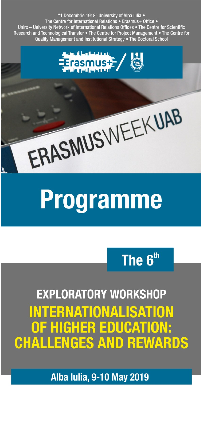

# The 6<sup>th</sup>

**EXPLORATORY WORKSHOP** INTERNATIONALISATION OF HIGHER EDUCATION: **CHALLENGES AND REWARDS** 

**Alba Iulia, 9-10 May 2019**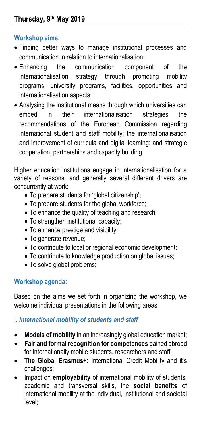## **Workshop aims:**

- Finding better ways to manage institutional processes and communication in relation to internationalisation;
- Enhancing the communication component of the internationalisation strategy through promoting mobility programs, university programs, facilities, opportunities and internationalisation aspects;
- Analysing the institutional means through which universities can embed in their internationalisation strategies the recommendations of the European Commission regarding international student and staff mobility; the internationalisation and improvement of curricula and digital learning; and strategic cooperation, partnerships and capacity building.

Higher education institutions engage in internationalisation for a variety of reasons, and generally several different drivers are concurrently at work:

- To prepare students for 'global citizenship';
- To prepare students for the global workforce;
- To enhance the quality of teaching and research;
- To strengthen institutional capacity;
- To enhance prestige and visibility;
- To generate revenue;
- To contribute to local or regional economic development;
- To contribute to knowledge production on global issues;
- To solve global problems;

# **Workshop agenda:**

Based on the aims we set forth in organizing the workshop, we welcome individual presentations in the following areas:

## I. *International mobility of students and staff*

- **Models of mobility** in an increasingly global education market;
- **Fair and formal recognition for competences** gained abroad for internationally mobile students, researchers and staff;
- **The Global Erasmus+:** International Credit Mobility and it's challenges;
- Impact on **employability** of international mobility of students, academic and transversal skills, the **social benefits** of international mobility at the individual, institutional and societal level;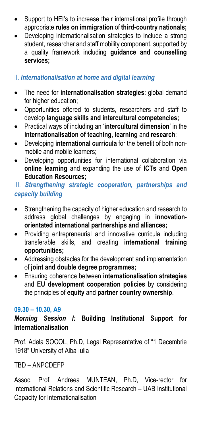- Support to HEI's to increase their international profile through appropriate **rules on immigration** of **third-country nationals;**
- Developing internationalisation strategies to include a strong student, researcher and staff mobility component, supported by a quality framework including **guidance and counselling services;**

## II. *Internationalisation at home and digital learning*

- The need for **internationalisation strategies**: global demand for higher education;
- Opportunities offered to students, researchers and staff to develop **language skills and intercultural competencies;**
- Practical ways of including an '**intercultural dimension**' in the **internationalisation of teaching, learning** and **research**;
- Developing **international curricula** for the benefit of both nonmobile and mobile learners;
- Developing opportunities for international collaboration via **online learning** and expanding the use of **ICTs** and **Open Education Resources;**

## III. *Strengthening strategic cooperation, partnerships and capacity building*

- Strengthening the capacity of higher education and research to address global challenges by engaging in **innovationorientated international partnerships and alliances;**
- Providing entrepreneurial and innovative curricula including transferable skills, and creating **international training opportunities;**
- Addressing obstacles for the development and implementation of **joint and double degree programmes;**
- Ensuring coherence between **internationalisation strategies**  and **EU development cooperation policies** by considering the principles of **equity** and **partner country ownership**.

## **09.30 – 10.30, A9**

*Morning Session I:* **Building Institutional Support for Internationalisation**

Prof. Adela SOCOL, Ph.D, Legal Representative of "1 Decembrie 1918" University of Alba Iulia

TBD – ANPCDEFP

Assoc. Prof. Andreea MUNTEAN, Ph.D, Vice-rector for International Relations and Scientific Research – UAB Institutional Capacity for Internationalisation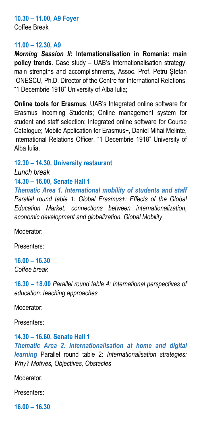#### **10.30 – 11.00, A9 Foyer** Coffee Break

#### **11.00 – 12.30, A9**

*Morning Session II***: Internationalisation in Romania: main policy trends**. Case study – UAB's Internationalisation strategy: main strengths and accomplishments, Assoc. Prof. Petru Stefan IONESCU, Ph.D, Director of the Centre for International Relations, "1 Decembrie 1918" University of Alba Iulia;

**Online tools for Erasmus**: UAB's Integrated online software for Erasmus Incoming Students; Online management system for student and staff selection; Integrated online software for Course Catalogue; Mobile Application for Erasmus+, Daniel Mihai Melinte, International Relations Officer, "1 Decembrie 1918" University of Alba Iulia.

#### **12.30 – 14.30, University restaurant**

*Lunch break*

### **14.30 – 16.00, Senate Hall 1**

*Thematic Area 1. International mobility of students and staff Parallel round table 1: Global Erasmus+: Effects of the Global Education Market: connections between internationalization, economic development and globalization. Global Mobility*

Moderator:

Presenters:

**16.00 – 16.30** *Coffee break*

**16.30 – 18.00** *Parallel round table 4: International perspectives of education: teaching approaches*

Moderator:

Presenters:

# **14.30 – 16.60, Senate Hall 1**

*Thematic Area 2. Internationalisation at home and digital learning* Parallel round table 2: *Internationalisation strategies: Why? Motives, Objectives, Obstacles* 

Moderator:

Presenters:

**16.00 – 16.30**